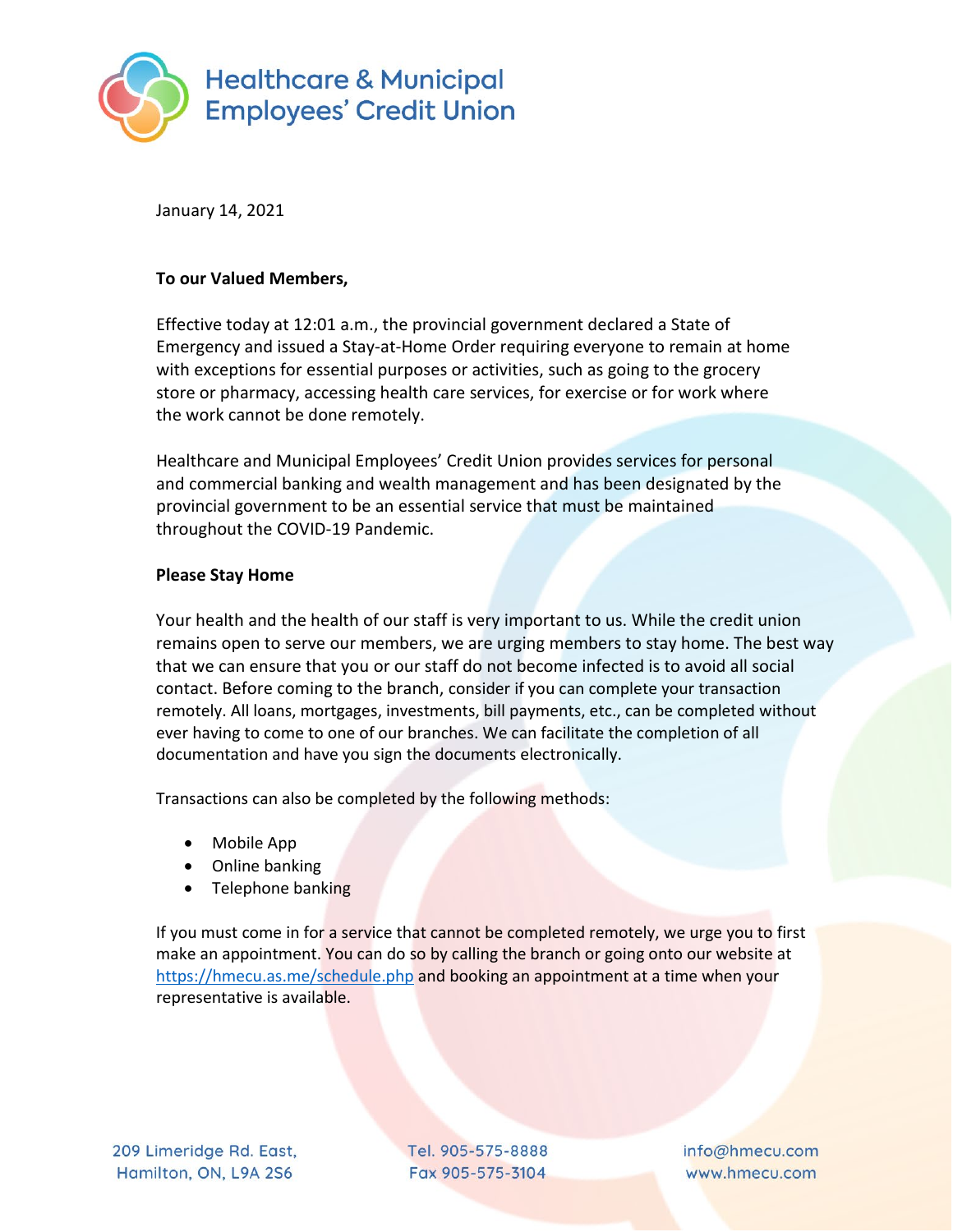

January 14, 2021

## **To our Valued Members,**

Effective today at 12:01 a.m., the provincial government declared a State of Emergency and issued a Stay-at-Home Order requiring everyone to remain at home with exceptions for essential purposes or activities, such as going to the grocery store or pharmacy, accessing health care services, for exercise or for work where the work cannot be done remotely.

Healthcare and Municipal Employees' Credit Union provides services for personal and commercial banking and wealth management and has been designated by the provincial government to be an essential service that must be maintained throughout the COVID-19 Pandemic.

## **Please Stay Home**

Your health and the health of our staff is very important to us. While the credit union remains open to serve our members, we are urging members to stay home. The best way that we can ensure that you or our staff do not become infected is to avoid all social contact. Before coming to the branch, consider if you can complete your transaction remotely. All loans, mortgages, investments, bill payments, etc., can be completed without ever having to come to one of our branches. We can facilitate the completion of all documentation and have you sign the documents electronically.

Transactions can also be completed by the following methods:

- Mobile App
- Online banking
- Telephone banking

If you must come in for a service that cannot be completed remotely, we urge you to first make an appointment. You can do so by calling the branch or going onto our website at <https://hmecu.as.me/schedule.php> and booking an appointment at a time when your representative is available.

Tel. 905-575-8888 Fax 905-575-3104

info@hmecu.com www.hmecu.com